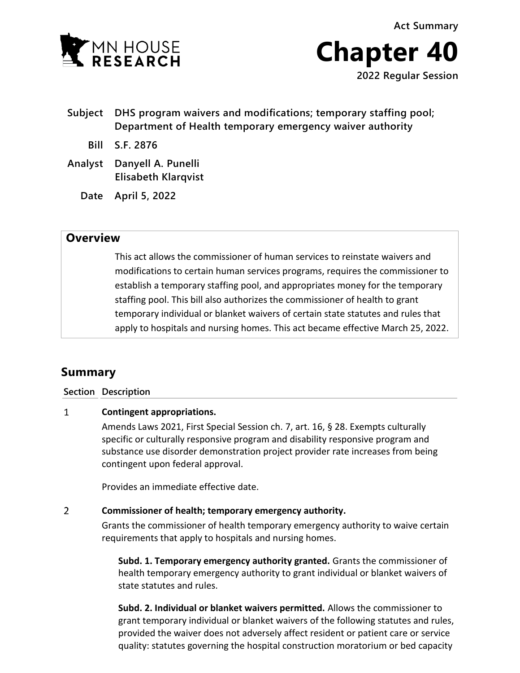**Act Summary**





- **Subject DHS program waivers and modifications; temporary staffing pool; Department of Health temporary emergency waiver authority**
	- **Bill S.F. 2876**
- **Analyst Danyell A. Punelli Elisabeth Klarqvist**
	- **Date April 5, 2022**

# **Overview**

This act allows the commissioner of human services to reinstate waivers and modifications to certain human services programs, requires the commissioner to establish a temporary staffing pool, and appropriates money for the temporary staffing pool. This bill also authorizes the commissioner of health to grant temporary individual or blanket waivers of certain state statutes and rules that apply to hospitals and nursing homes. This act became effective March 25, 2022.

# **Summary**

**Section Description**

## $\mathbf{1}$ **Contingent appropriations.**

Amends Laws 2021, First Special Session ch. 7, art. 16, § 28. Exempts culturally specific or culturally responsive program and disability responsive program and substance use disorder demonstration project provider rate increases from being contingent upon federal approval.

Provides an immediate effective date.

## $\overline{2}$ **Commissioner of health; temporary emergency authority.**

Grants the commissioner of health temporary emergency authority to waive certain requirements that apply to hospitals and nursing homes.

**Subd. 1. Temporary emergency authority granted.** Grants the commissioner of health temporary emergency authority to grant individual or blanket waivers of state statutes and rules.

**Subd. 2. Individual or blanket waivers permitted.** Allows the commissioner to grant temporary individual or blanket waivers of the following statutes and rules, provided the waiver does not adversely affect resident or patient care or service quality: statutes governing the hospital construction moratorium or bed capacity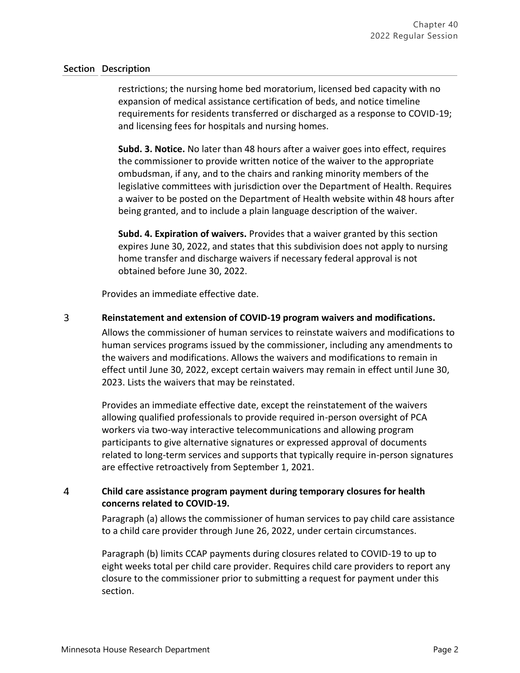## **Section Description**

restrictions; the nursing home bed moratorium, licensed bed capacity with no expansion of medical assistance certification of beds, and notice timeline requirements for residents transferred or discharged as a response to COVID-19; and licensing fees for hospitals and nursing homes.

**Subd. 3. Notice.** No later than 48 hours after a waiver goes into effect, requires the commissioner to provide written notice of the waiver to the appropriate ombudsman, if any, and to the chairs and ranking minority members of the legislative committees with jurisdiction over the Department of Health. Requires a waiver to be posted on the Department of Health website within 48 hours after being granted, and to include a plain language description of the waiver.

**Subd. 4. Expiration of waivers.** Provides that a waiver granted by this section expires June 30, 2022, and states that this subdivision does not apply to nursing home transfer and discharge waivers if necessary federal approval is not obtained before June 30, 2022.

Provides an immediate effective date.

### $\overline{3}$ **Reinstatement and extension of COVID-19 program waivers and modifications.**

Allows the commissioner of human services to reinstate waivers and modifications to human services programs issued by the commissioner, including any amendments to the waivers and modifications. Allows the waivers and modifications to remain in effect until June 30, 2022, except certain waivers may remain in effect until June 30, 2023. Lists the waivers that may be reinstated.

Provides an immediate effective date, except the reinstatement of the waivers allowing qualified professionals to provide required in-person oversight of PCA workers via two-way interactive telecommunications and allowing program participants to give alternative signatures or expressed approval of documents related to long-term services and supports that typically require in-person signatures are effective retroactively from September 1, 2021.

## $\overline{4}$ **Child care assistance program payment during temporary closures for health concerns related to COVID-19.**

Paragraph (a) allows the commissioner of human services to pay child care assistance to a child care provider through June 26, 2022, under certain circumstances.

Paragraph (b) limits CCAP payments during closures related to COVID-19 to up to eight weeks total per child care provider. Requires child care providers to report any closure to the commissioner prior to submitting a request for payment under this section.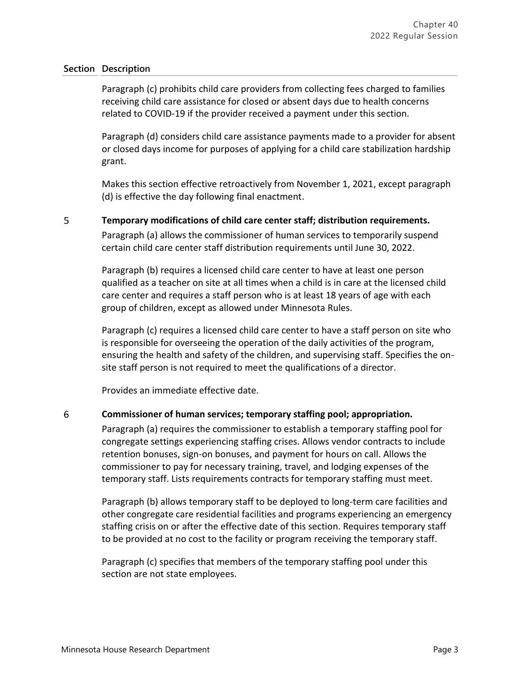## **Section Description**

Paragraph (c) prohibits child care providers from collecting fees charged to families receiving child care assistance for closed or absent days due to health concerns related to COVID-19 if the provider received a payment under this section.

Paragraph (d) considers child care assistance payments made to a provider for absent or closed days income for purposes of applying for a child care stabilization hardship grant.

Makes this section effective retroactively from November 1, 2021, except paragraph (d) is effective the day following final enactment.

### 5 **Temporary modifications of child care center staff; distribution requirements.**

Paragraph (a) allows the commissioner of human services to temporarily suspend certain child care center staff distribution requirements until June 30, 2022.

Paragraph (b) requires a licensed child care center to have at least one person qualified as a teacher on site at all times when a child is in care at the licensed child care center and requires a staff person who is at least 18 years of age with each group of children, except as allowed under Minnesota Rules.

Paragraph (c) requires a licensed child care center to have a staff person on site who is responsible for overseeing the operation of the daily activities of the program, ensuring the health and safety of the children, and supervising staff. Specifies the onsite staff person is not required to meet the qualifications of a director.

Provides an immediate effective date.

### 6 **Commissioner of human services; temporary staffing pool; appropriation.**

Paragraph (a) requires the commissioner to establish a temporary staffing pool for congregate settings experiencing staffing crises. Allows vendor contracts to include retention bonuses, sign-on bonuses, and payment for hours on call. Allows the commissioner to pay for necessary training, travel, and lodging expenses of the temporary staff. Lists requirements contracts for temporary staffing must meet.

Paragraph (b) allows temporary staff to be deployed to long-term care facilities and other congregate care residential facilities and programs experiencing an emergency staffing crisis on or after the effective date of this section. Requires temporary staff to be provided at no cost to the facility or program receiving the temporary staff.

Paragraph (c) specifies that members of the temporary staffing pool under this section are not state employees.